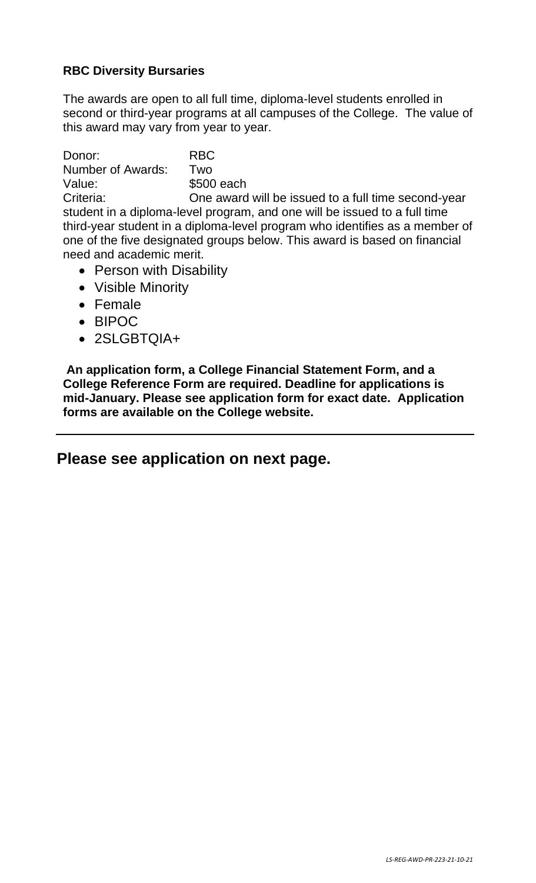# **RBC Diversity Bursaries**

The awards are open to all full time, diploma-level students enrolled in second or third-year programs at all campuses of the College. The value of this award may vary from year to year.

Donor: RBC Number of Awards: Two Value: \$500 each

Criteria: One award will be issued to a full time second-year student in a diploma-level program, and one will be issued to a full time third-year student in a diploma-level program who identifies as a member of one of the five designated groups below. This award is based on financial need and academic merit.

- Person with Disability
- Visible Minority
- Female
- BIPOC
- 2SLGBTQIA+

**An application form, a College Financial Statement Form, and a College Reference Form are required. Deadline for applications is mid-January. Please see application form for exact date. Application forms are available on the College website.** 

**Please see application on next page.**